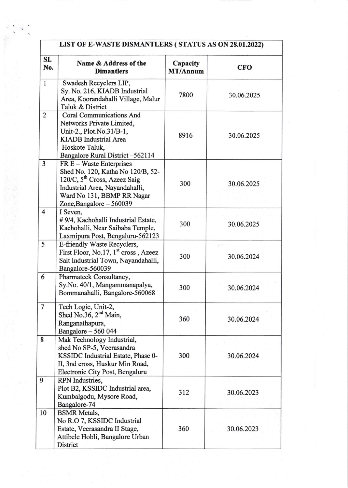|                         | LIST OF E-WASTE DISMANTLERS (STATUS AS ON 28.01.2022)                                                                                                                                                 |                      |            |  |  |  |
|-------------------------|-------------------------------------------------------------------------------------------------------------------------------------------------------------------------------------------------------|----------------------|------------|--|--|--|
| SI.<br>No.              | Name & Address of the<br><b>Dimantlers</b>                                                                                                                                                            | Capacity<br>MT/Annum | <b>CFO</b> |  |  |  |
| $\mathbf{1}$            | Swadesh Recyclers LIP,<br>Sy. No. 216, KIADB Industrial<br>Area, Koorandahalli Village, Malur<br>Taluk & District                                                                                     | 7800                 | 30.06.2025 |  |  |  |
| $\overline{2}$          | <b>Coral Communications And</b><br>Networks Private Limited,<br>Unit-2., Plot.No.31/B-1,<br><b>KIADB</b> Industrial Area<br>Hoskote Taluk,<br>Bangalore Rural District-562114                         | 8916                 | 30.06.2025 |  |  |  |
| 3                       | FR E - Waste Enterprises<br>Shed No. 120, Katha No 120/B, 52-<br>120/C, 5 <sup>th</sup> Cross, Azeez Saig<br>Industrial Area, Nayandahalli,<br>Ward No 131, BBMP RR Nagar<br>Zone, Bangalore - 560039 | 300                  | 30.06.2025 |  |  |  |
| $\overline{\mathbf{4}}$ | I Seven,<br>#9/4, Kachohalli Industrial Estate,<br>Kachohalli, Near Saibaba Temple,<br>Laxmipura Post, Bengaluru-562123                                                                               | 300                  | 30.06.2025 |  |  |  |
| 5                       | E-friendly Waste Recyclers,<br>First Floor, No.17, 1 <sup>st</sup> cross, Azeez<br>Sait Industrial Town, Nayandahalli,<br>Bangalore-560039                                                            | 300                  | 30.06.2024 |  |  |  |
| 6                       | Pharmateck Consultancy,<br>Sy.No. 40/1, Mangammanapalya,<br>Bommanahalli, Bangalore-560068                                                                                                            | 300                  | 30.06.2024 |  |  |  |
| $\overline{7}$          | Tech Logic, Unit-2,<br>Shed No.36, $2nd$ Main,<br>Ranganathapura,<br>Bangalore - 560 044                                                                                                              | 360                  | 30.06.2024 |  |  |  |
| 8                       | Mak Technology Industrial,<br>shed No SP-5, Veerasandra<br>KSSIDC Industrial Estate, Phase 0-<br>II, 3nd cross, Huskur Min Road,<br>Electronic City Post, Bengaluru                                   | 300                  | 30.06.2024 |  |  |  |
| 9                       | RPN Industries,<br>Plot B2, KSSIDC Industrial area,<br>Kumbalgodu, Mysore Road,<br>Bangalore-74                                                                                                       | 312                  | 30.06.2023 |  |  |  |
| 10                      | <b>BSMR</b> Metals,<br>No R.O 7, KSSIDC Industrial<br>Estate, Veerasandra II Stage,<br>Attibele Hobli, Bangalore Urban<br>District                                                                    | 360                  | 30.06.2023 |  |  |  |

 $\kappa$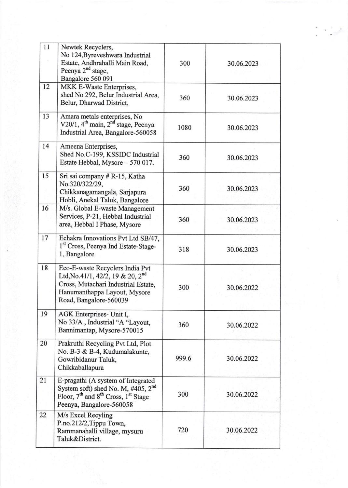| 11 | Newtek Recyclers,<br>No 124, Byreveshwara Industrial<br>Estate, Andhrahalli Main Road,<br>Peenya 2 <sup>nd</sup> stage,<br>Bangalore 560 091                                          | 300   | 30.06.2023 |
|----|---------------------------------------------------------------------------------------------------------------------------------------------------------------------------------------|-------|------------|
| 12 | MKK E-Waste Enterprises,<br>shed No 292, Belur Industrial Area,<br>Belur, Dharwad District,                                                                                           | 360   | 30.06.2023 |
| 13 | Amara metals enterprises, No<br>V20/1, 4 <sup>th</sup> main, 2 <sup>nd</sup> stage, Peenya<br>Industrial Area, Bangalore-560058                                                       | 1080  | 30.06.2023 |
| 14 | Ameena Enterprises,<br>Shed No.C-199, KSSIDC Industrial<br>Estate Hebbal, Mysore - 570 017.                                                                                           | 360   | 30.06.2023 |
| 15 | Sri sai company # R-15, Katha<br>No.320/322/29,<br>Chikkanagamangala, Sarjapura<br>Hobli, Anekal Taluk, Bangalore                                                                     | 360   | 30.06.2023 |
| 16 | M/s. Global E-waste Management<br>Services, P-21, Hebbal Industrial<br>area, Hebbal I Phase, Mysore                                                                                   | 360   | 30.06.2023 |
| 17 | Echakra Innovations Pvt Ltd SB/47,<br>1st Cross, Peenya Ind Estate-Stage-<br>1, Bangalore                                                                                             | 318   | 30.06.2023 |
| 18 | Eco-E-waste Recyclers India Pvt<br>Ltd, No.41/1, 42/2, 19 & 20, 2 <sup>nd</sup><br>Cross, Mutachari Industrial Estate,<br>Hanumanthappa Layout, Mysore<br>Road, Bangalore-560039      | 300   | 30.06.2022 |
| 19 | AGK Enterprises- Unit I,<br>No 33/A, Industrial "A "Layout,<br>Bannimantap, Mysore-570015                                                                                             | 360   | 30.06.2022 |
| 20 | Prakruthi Recycling Pvt Ltd, Plot<br>No. B-3 & B-4, Kudumalakunte,<br>Gowribidanur Taluk,<br>Chikkaballapura                                                                          | 999.6 | 30.06.2022 |
| 21 | E-pragathi (A system of Integrated<br>System soft) shed No. M, $\#405$ , $2nd$<br>Floor, 7 <sup>th</sup> and 8 <sup>th</sup> Cross, 1 <sup>st</sup> Stage<br>Peenya, Bangalore-560058 | 300   | 30.06.2022 |
| 22 | M/s Excel Recyling<br>P.no.212/2, Tippu Town,<br>Rammanahalli village, mysuru<br>Taluk&District.                                                                                      | 720   | 30.06.2022 |